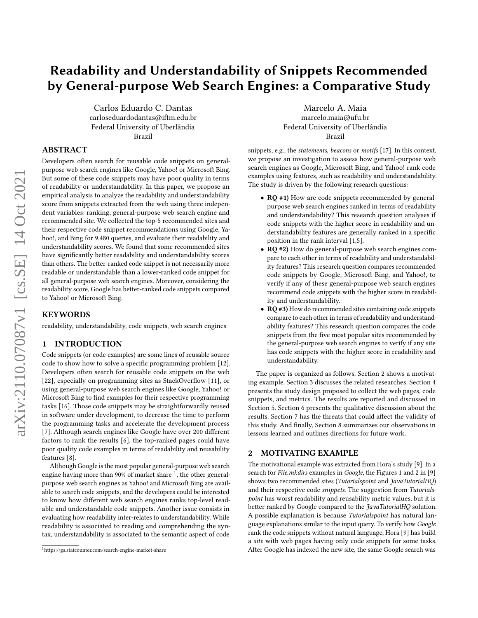# Readability and Understandability of Snippets Recommended by General-purpose Web Search Engines: a Comparative Study

Carlos Eduardo C. Dantas carloseduardodantas@iftm.edu.br Federal University of Uberlândia Brazil

# ABSTRACT

Developers often search for reusable code snippets on generalpurpose web search engines like Google, Yahoo! or Microsoft Bing. But some of these code snippets may have poor quality in terms of readability or understandability. In this paper, we propose an empirical analysis to analyze the readability and understandability score from snippets extracted from the web using three independent variables: ranking, general-purpose web search engine and recommended site. We collected the top-5 recommended sites and their respective code snippet recommendations using Google, Yahoo!, and Bing for 9,480 queries, and evaluate their readability and understandability scores. We found that some recommended sites have significantly better readability and understandability scores than others. The better-ranked code snippet is not necessarily more readable or understandable than a lower-ranked code snippet for all general-purpose web search engines. Moreover, considering the readability score, Google has better-ranked code snippets compared to Yahoo! or Microsoft Bing.

## **KEYWORDS**

readability, understandability, code snippets, web search engines

# 1 INTRODUCTION

Code snippets (or code examples) are some lines of reusable source code to show how to solve a specific programming problem [\[12\]](#page-4-0). Developers often search for reusable code snippets on the web [\[22\]](#page-4-1), especially on programming sites as StackOverflow [\[11\]](#page-4-2), or using general-purpose web search engines like Google, Yahoo! or Microsoft Bing to find examples for their respective programming tasks [\[16\]](#page-4-3). Those code snippets may be straightforwardly reused in software under development, to decrease the time to perform the programming tasks and accelerate the development process [\[7\]](#page-4-4). Although search engines like Google have over 200 different factors to rank the results [\[6\]](#page-4-5), the top-ranked pages could have poor quality code examples in terms of readability and reusability features [\[8\]](#page-4-6).

Although Google is the most popular general-purpose web search engine having more than 90% of market share  $1$ , the other generalpurpose web search engines as Yahoo! and Microsoft Bing are available to search code snippets, and the developers could be interested to know how different web search engines ranks top-level readable and understandable code snippets. Another issue consists in evaluating how readability inter-relates to understandability. While readability is associated to reading and comprehending the syntax, understandability is associated to the semantic aspect of code

Marcelo A. Maia marcelo.maia@ufu.br Federal University of Uberlândia Brazil

snippets, e.g., the statements, beacons or motifs [\[17\]](#page-4-7). In this context, we propose an investigation to assess how general-purpose web search engines as Google, Microsoft Bing, and Yahoo! rank code examples using features, such as readability and understandability. The study is driven by the following research questions:

- RQ #1) How are code snippets recommended by generalpurpose web search engines ranked in terms of readability and understandability? This research question analyses if code snippets with the higher score in readability and understandability features are generally ranked in a specific position in the rank interval [1,5].
- RQ #2) How do general-purpose web search engines compare to each other in terms of readability and understandability features? This research question compares recommended code snippets by Google, Microsoft Bing, and Yahoo!, to verify if any of these general-purpose web search engines recommend code snippets with the higher score in readability and understandability.
- RQ #3) How do recommended sites containing code snippets compare to each other in terms of readability and understandability features? This research question compares the code snippets from the five most popular sites recommended by the general-purpose web search engines to verify if any site has code snippets with the higher score in readability and understandability.

The paper is organized as follows. Section 2 shows a motivating example. Section 3 discusses the related researches. Section 4 presents the study design proposed to collect the web pages, code snippets, and metrics. The results are reported and discussed in Section 5. Section 6 presents the qualitative discussion about the results. Section 7 has the threats that could affect the validity of this study. And finally, Section 8 summarizes our observations in lessons learned and outlines directions for future work.

# 2 MOTIVATING EXAMPLE

The motivational example was extracted from Hora's study [\[9\]](#page-4-8). In a search for File.mkdirs examples in Google, the Figures 1 and 2 in [\[9\]](#page-4-8) shows two recommended sites (Tutorialspoint and JavaTutorialHQ) and their respective code snippets. The suggestion from Tutorialspoint has worst readability and reusability metric values, but it is better ranked by Google compared to the JavaTutorialHQ solution. A possible explanation is because Tutorialspoint has natural language explanations similar to the input query. To verify how Google rank the code snippets without natural language, Hora [\[9\]](#page-4-8) has build a site with web pages having only code snippets for some tasks. After Google has indexed the new site, the same Google search was

<span id="page-0-0"></span><sup>1</sup>https://gs.statcounter.com/search-engine-market-share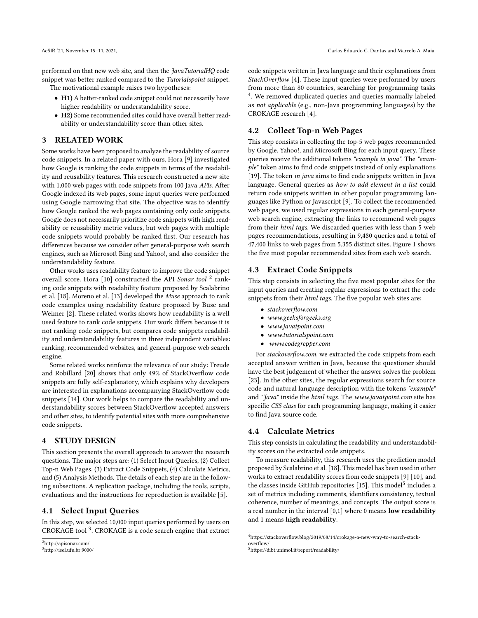performed on that new web site, and then the JavaTutorialHQ code snippet was better ranked compared to the Tutorialspoint snippet.

The motivational example raises two hypotheses:

- H1) A better-ranked code snippet could not necessarily have higher readability or understandability score.
- H2) Some recommended sites could have overall better readability or understandability score than other sites.

## 3 RELATED WORK

Some works have been proposed to analyze the readability of source code snippets. In a related paper with ours, Hora [\[9\]](#page-4-8) investigated how Google is ranking the code snippets in terms of the readability and reusability features. This research constructed a new site with 1,000 web pages with code snippets from 100 Java APIs. After Google indexed its web pages, some input queries were performed using Google narrowing that site. The objective was to identify how Google ranked the web pages containing only code snippets. Google does not necessarily prioritize code snippets with high readability or reusability metric values, but web pages with multiple code snippets would probably be ranked first. Our research has differences because we consider other general-purpose web search engines, such as Microsoft Bing and Yahoo!, and also consider the understandability feature.

Other works uses readability feature to improve the code snippet overall score. Hora [\[10\]](#page-4-9) constructed the API Sonar tool<sup>[2](#page-1-0)</sup> ranking code snippets with readability feature proposed by Scalabrino et al. [\[18\]](#page-4-10). Moreno et al. [\[13\]](#page-4-11) developed the Muse approach to rank code examples using readability feature proposed by Buse and Weimer [\[2\]](#page-4-12). These related works shows how readability is a well used feature to rank code snippets. Our work differs because it is not ranking code snippets, but compares code snippets readability and understandability features in three independent variables: ranking, recommended websites, and general-purpose web search engine.

Some related works reinforce the relevance of our study: Treude and Robillard [\[20\]](#page-4-13) shows that only 49% of StackOverflow code snippets are fully self-explanatory, which explains why developers are interested in explanations accompanying StackOverflow code snippets [\[14\]](#page-4-14). Our work helps to compare the readability and understandability scores between StackOverflow accepted answers and other sites, to identify potential sites with more comprehensive code snippets.

# 4 STUDY DESIGN

This section presents the overall approach to answer the research questions. The major steps are: (1) Select Input Queries, (2) Collect Top-n Web Pages, (3) Extract Code Snippets, (4) Calculate Metrics, and (5) Analysis Methods. The details of each step are in the following subsections. A replication package, including the tools, scripts, evaluations and the instructions for reproduction is available [\[5\]](#page-4-15).

# 4.1 Select Input Queries

In this step, we selected 10,000 input queries performed by users on CROKAGE tool<sup>[3](#page-1-1)</sup>. CROKAGE is a code search engine that extract code snippets written in Java language and their explanations from StackOverflow [\[4\]](#page-4-16). These input queries were performed by users from more than 80 countries, searching for programming tasks <sup>[4](#page-1-2)</sup>. We removed duplicated queries and queries manually labeled as not applicable (e.g., non-Java programming languages) by the CROKAGE research [\[4\]](#page-4-16).

# 4.2 Collect Top-n Web Pages

This step consists in collecting the top-5 web pages recommended by Google, Yahoo!, and Microsoft Bing for each input query. These queries receive the additional tokens "example in java". The "example" token aims to find code snippets instead of only explanations [\[19\]](#page-4-17). The token in java aims to find code snippets written in Java language. General queries as how to add element in a list could return code snippets written in other popular programming languages like Python or Javascript [\[9\]](#page-4-8). To collect the recommended web pages, we used regular expressions in each general-purpose web search engine, extracting the links to recommend web pages from their html tags. We discarded queries with less than 5 web pages recommendations, resulting in 9,480 queries and a total of 47,400 links to web pages from 5,355 distinct sites. Figure [1](#page-2-0) shows the five most popular recommended sites from each web search.

# 4.3 Extract Code Snippets

This step consists in selecting the five most popular sites for the input queries and creating regular expressions to extract the code snippets from their html tags. The five popular web sites are:

- stackoverflow.com
- www.geeksforgeeks.org
- www.javatpoint.com
- www.tutorialspoint.com
- www.codegrepper.com

For stackoverflow.com, we extracted the code snippets from each accepted answer written in Java, because the questioner should have the best judgement of whether the answer solves the problem [\[23\]](#page-4-18). In the other sites, the regular expressions search for source code and natural language description with the tokens "example" and "Java" inside the html tags. The www.javatpoint.com site has specific CSS class for each programming language, making it easier to find Java source code.

#### 4.4 Calculate Metrics

This step consists in calculating the readability and understandability scores on the extracted code snippets.

To measure readability, this research uses the prediction model proposed by Scalabrino et al. [\[18\]](#page-4-10). This model has been used in other works to extract readability scores from code snippets [\[9\]](#page-4-8) [\[10\]](#page-4-9), and the classes inside GitHub repositories [\[15\]](#page-4-19). This model<sup>[5](#page-1-3)</sup> includes a set of metrics including comments, identifiers consistency, textual coherence, number of meanings, and concepts. The output score is a real number in the interval [0,1] where 0 means low readability and 1 means high readability.

<span id="page-1-0"></span><sup>2</sup>http://apisonar.com/

<span id="page-1-1"></span><sup>3</sup>http://isel.ufu.br:9000/

<span id="page-1-2"></span> $^4$ https://stackoverflow.blog/2019/08/14/crokage-a-new-way-to-search-stackoverflow/

<span id="page-1-3"></span><sup>5</sup>https://dibt.unimol.it/report/readability/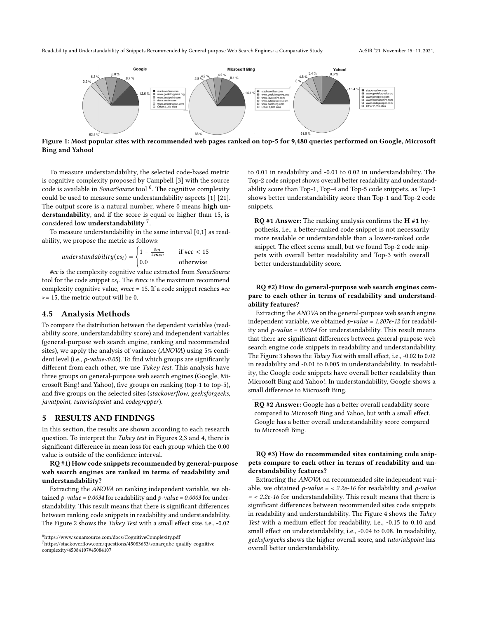<span id="page-2-0"></span>

Figure 1: Most popular sites with recommended web pages ranked on top-5 for 9,480 queries performed on Google, Microsoft Bing and Yahoo!

To measure understandability, the selected code-based metric is cognitive complexity proposed by Campbell [\[3\]](#page-4-20) with the source code is available in SonarSource tool <sup>[6](#page-2-1)</sup>. The cognitive complexity could be used to measure some understandability aspects [\[1\]](#page-4-21) [\[21\]](#page-4-22). The output score is a natural number, where 0 means high understandability, and if the score is equal or higher than 15, is considered low understandability  $^7$  $^7$ .

To measure understandability in the same interval [0,1] as readability, we propose the metric as follows:

$$
understanding(csi) = \begin{cases} 1 - \frac{\#cc}{\#mcc} & \text{if } \#cc < 15\\ 0.0 & \text{otherwise} \end{cases}
$$

#cc is the complexity cognitive value extracted from SonarSource tool for the code snippet  $cs_i$ . The  $\#mcc$  is the maximum recommend complexity cognitive value,  $\#mcc = 15$ . If a code snippet reaches  $\#cc$ >= 15, the metric output will be 0.

## 4.5 Analysis Methods

To compare the distribution between the dependent variables (readability score, understandability score) and independent variables (general-purpose web search engine, ranking and recommended sites), we apply the analysis of variance (ANOVA) using 5% confident level (i.e.,  $p$ -value<0.05). To find which groups are significantly different from each other, we use Tukey test. This analysis have three groups on general-purpose web search engines (Google, Microsoft Bing! and Yahoo), five groups on ranking (top-1 to top-5), and five groups on the selected sites (stackoverflow, geeksforgeeks, javatpoint, tutorialspoint and codegrepper).

#### 5 RESULTS AND FINDINGS

In this section, the results are shown according to each research question. To interpret the Tukey test in Figures [2,](#page-3-0)[3](#page-3-1) and [4,](#page-3-2) there is significant difference in mean loss for each group which the 0.00 value is outside of the confidence interval.

RQ #1) How code snippets recommended by general-purpose web search engines are ranked in terms of readability and understandability?

Extracting the ANOVA on ranking independent variable, we obtained  $p$ -value = 0.0034 for readability and  $p$ -value = 0.0003 for understandability. This result means that there is significant differences between ranking code snippets in readability and understandability. The Figure [2](#page-3-0) shows the Tukey Test with a small effect size, i.e., -0.02

<span id="page-2-1"></span>

<span id="page-2-2"></span><sup>7</sup>https://stackoverflow.com/questions/45083653/sonarqube-qualify-cognitivecomplexity/45084107#45084107

to 0.01 in readability and -0.01 to 0.02 in understandability. The Top-2 code snippet shows overall better readability and understandability score than Top-1, Top-4 and Top-5 code snippets, as Top-3 shows better understandability score than Top-1 and Top-2 code snippets.

 $RQ$  #1 Answer: The ranking analysis confirms the H #1 hypothesis, i.e., a better-ranked code snippet is not necessarily more readable or understandable than a lower-ranked code snippet. The effect seems small, but we found Top-2 code snippets with overall better readability and Top-3 with overall better understandability score.

# RQ #2) How do general-purpose web search engines compare to each other in terms of readability and understandability features?

Extracting the ANOVA on the general-purpose web search engine independent variable, we obtained  $p$ -value = 1.207e-12 for readability and  $p$ -value = 0.0364 for understandability. This result means that there are significant differences between general-purpose web search engine code snippets in readability and understandability. The Figure [3](#page-3-1) shows the Tukey Test with small effect, i.e., -0.02 to 0.02 in readability and -0.01 to 0.005 in understandability. In readability, the Google code snippets have overall better readability than Microsoft Bing and Yahoo!. In understandability, Google shows a small difference to Microsoft Bing.

RQ #2 Answer: Google has a better overall readability score compared to Microsoft Bing and Yahoo, but with a small effect. Google has a better overall understandability score compared to Microsoft Bing.

#### RQ #3) How do recommended sites containing code snippets compare to each other in terms of readability and understandability features?

Extracting the ANOVA on recommended site independent variable, we obtained  $p$ -value = < 2.2e-16 for readability and  $p$ -value = < 2.2e-16 for understandability. This result means that there is significant differences between recommended sites code snippets in readability and understandability. The Figure [4](#page-3-2) shows the Tukey Test with a medium effect for readability, i.e., -0.15 to 0.10 and small effect on understandability, i.e., -0.04 to 0.08. In readability, geeksforgeeks shows the higher overall score, and tutorialspoint has overall better understandability.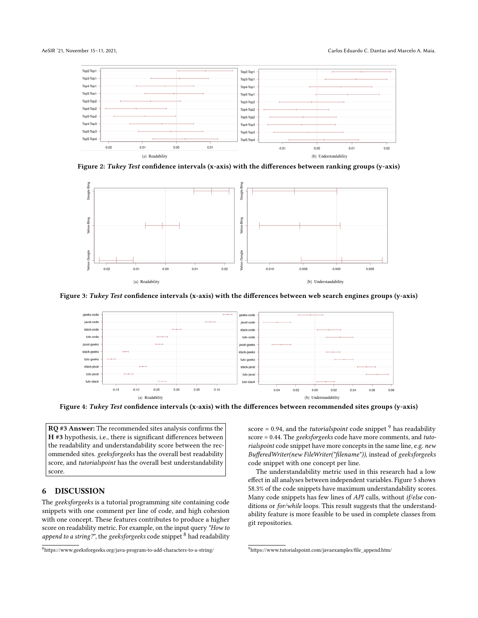<span id="page-3-0"></span>

Figure 2: Tukey Test confidence intervals (x-axis) with the differences between ranking groups (y-axis)

<span id="page-3-1"></span>

<span id="page-3-2"></span>Figure 3: Tukey Test confidence intervals (x-axis) with the differences between web search engines groups (y-axis)



Figure 4: Tukey Test confidence intervals (x-axis) with the differences between recommended sites groups (y-axis)

RQ #3 Answer: The recommended sites analysis confirms the H #3 hypothesis, i.e., there is significant differences between the readability and understandability score between the recommended sites. geeksforgeeks has the overall best readability score, and tutorialspoint has the overall best understandability score.

# 6 DISCUSSION

The geeksforgeeks is a tutorial programming site containing code snippets with one comment per line of code, and high cohesion with one concept. These features contributes to produce a higher score on readability metric. For example, on the input query "How to append to a string?", the geeksforgeeks code snippet  $8$  had readability

<span id="page-3-3"></span><sup>8</sup>https://www.geeksforgeeks.org/java-program-to-add-characters-to-a-string/

score = 0.[9](#page-3-4)4, and the *tutorialspoint* code snippet  $9$  has readability score = 0.44. The geeksforgeeks code have more comments, and tutorialspoint code snippet have more concepts in the same line, e.g. new BufferedWriter(new FileWriter("filename")), instead of geeksforgeeks code snippet with one concept per line.

The understandability metric used in this research had a low effect in all analyses between independent variables. Figure [5](#page-4-23) shows 58.3% of the code snippets have maximum understandability scores. Many code snippets has few lines of API calls, without if/else conditions or for/while loops. This result suggests that the understandability feature is more feasible to be used in complete classes from git repositories.

<span id="page-3-4"></span><sup>9</sup>https://www.tutorialspoint.com/javaexamples/file\_append.htm/